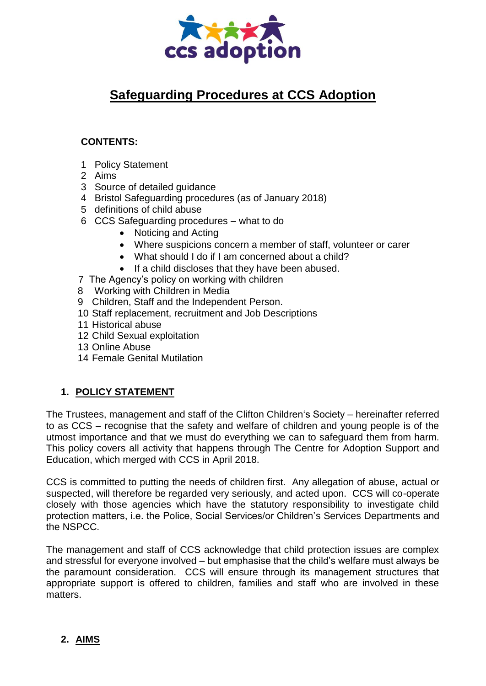

# **Safeguarding Procedures at CCS Adoption**

# **CONTENTS:**

- 1 Policy Statement
- 2 Aims
- 3 Source of detailed guidance
- 4 Bristol Safeguarding procedures (as of January 2018)
- 5 definitions of child abuse
- 6 CCS Safeguarding procedures what to do
	- Noticing and Acting
	- Where suspicions concern a member of staff, volunteer or carer
	- What should I do if I am concerned about a child?
	- If a child discloses that they have been abused.
- 7 The Agency's policy on working with children
- 8 Working with Children in Media
- 9 Children, Staff and the Independent Person.
- 10 Staff replacement, recruitment and Job Descriptions
- 11 Historical abuse
- 12 Child Sexual exploitation
- 13 Online Abuse
- 14 Female Genital Mutilation

# **1. POLICY STATEMENT**

The Trustees, management and staff of the Clifton Children's Society – hereinafter referred to as CCS – recognise that the safety and welfare of children and young people is of the utmost importance and that we must do everything we can to safeguard them from harm. This policy covers all activity that happens through The Centre for Adoption Support and Education, which merged with CCS in April 2018.

CCS is committed to putting the needs of children first. Any allegation of abuse, actual or suspected, will therefore be regarded very seriously, and acted upon. CCS will co-operate closely with those agencies which have the statutory responsibility to investigate child protection matters, i.e. the Police, Social Services/or Children's Services Departments and the NSPCC.

The management and staff of CCS acknowledge that child protection issues are complex and stressful for everyone involved – but emphasise that the child's welfare must always be the paramount consideration. CCS will ensure through its management structures that appropriate support is offered to children, families and staff who are involved in these matters.

# **2. AIMS**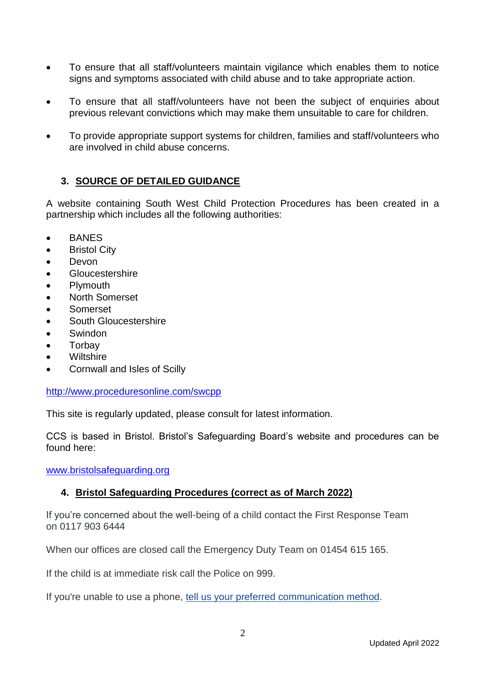- To ensure that all staff/volunteers maintain vigilance which enables them to notice signs and symptoms associated with child abuse and to take appropriate action.
- To ensure that all staff/volunteers have not been the subject of enquiries about previous relevant convictions which may make them unsuitable to care for children.
- To provide appropriate support systems for children, families and staff/volunteers who are involved in child abuse concerns.

# **3. SOURCE OF DETAILED GUIDANCE**

A website containing South West Child Protection Procedures has been created in a partnership which includes all the following authorities:

- BANES
- **Bristol City**
- Devon
- **Gloucestershire**
- Plymouth
- North Somerset
- Somerset
- South Gloucestershire
- Swindon
- Torbay
- Wiltshire
- Cornwall and Isles of Scilly

## <http://www.proceduresonline.com/swcpp>

This site is regularly updated, please consult for latest information.

CCS is based in Bristol. Bristol's Safeguarding Board's website and procedures can be found here:

[www.bristolsafeguarding.org](http://www.bristolsafeguarding.org/)

# **4. Bristol Safeguarding Procedures (correct as of March 2022)**

If you're concerned about the well-being of a child contact the First Response Team on 0117 903 6444

When our offices are closed call the Emergency Duty Team on 01454 615 165.

If the child is at immediate risk call the Police on 999.

If you're unable to use a phone, [tell us your preferred communication method.](https://www.bristol.gov.uk/social-care-health/first-response-communication-preferences-form)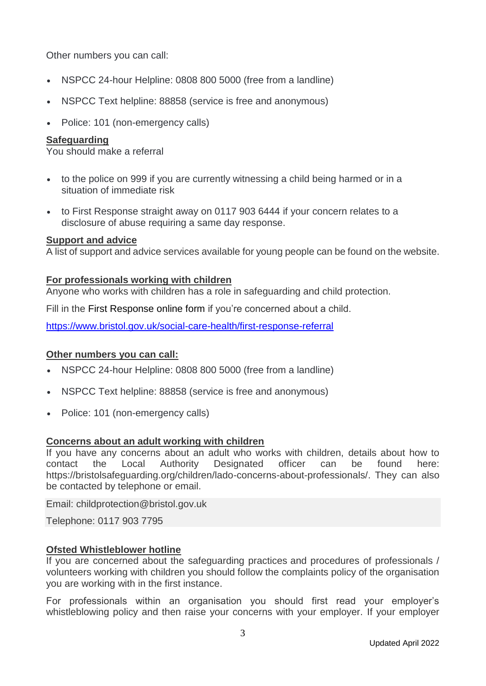Other numbers you can call:

- NSPCC 24-hour Helpline: 0808 800 5000 (free from a landline)
- NSPCC Text helpline: 88858 (service is free and anonymous)
- Police: 101 (non-emergency calls)

## **Safeguarding**

You should make a referral

- to the police on 999 if you are currently witnessing a child being harmed or in a situation of immediate risk
- to First Response straight away on 0117 903 6444 if your concern relates to a disclosure of abuse requiring a same day response.

#### **Support and advice**

A list of support and advice services available for young people can be found on the website.

#### **For professionals working with children**

Anyone who works with children has a role in safeguarding and child protection.

Fill in the [First Response online form](https://www.bristol.gov.uk/en_US/social-care-health/report-concern-about-child-for-professionals) if you're concerned about a child.

<https://www.bristol.gov.uk/social-care-health/first-response-referral>

#### **Other numbers you can call:**

- NSPCC 24-hour Helpline: 0808 800 5000 (free from a landline)
- NSPCC Text helpline: 88858 (service is free and anonymous)
- Police: 101 (non-emergency calls)

## **Concerns about an adult working with children**

If you have any concerns about an adult who works with children, details about how to contact the Local Authority Designated officer can be found here: [https://bristolsafeguarding.org/children/lado-concerns-about-professionals/.](https://bristolsafeguarding.org/children/lado-concerns-about-professionals/) They can also be contacted by telephone or email.

Email: [childprotection@bristol.gov.uk](mailto:childprotection@bristol.gov.uk)

Telephone: 0117 903 7795

## **Ofsted Whistleblower hotline**

If you are concerned about the safeguarding practices and procedures of professionals / volunteers working with children you should follow the complaints policy of the organisation you are working with in the first instance.

For professionals within an organisation you should first read your employer's whistleblowing policy and then raise your concerns with your employer. If your employer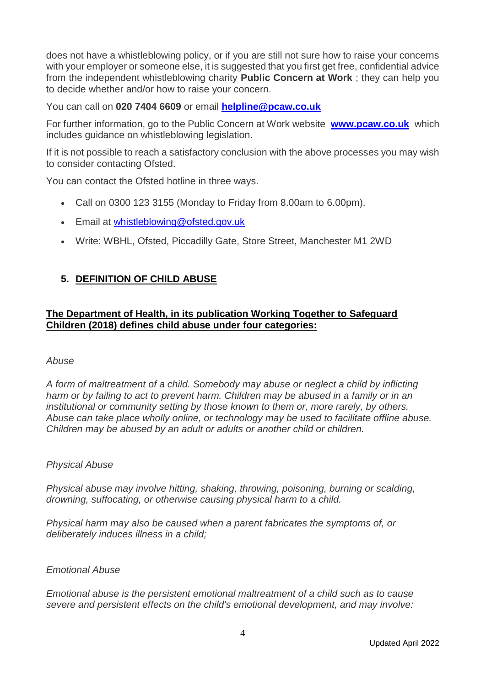does not have a whistleblowing policy, or if you are still not sure how to raise your concerns with your employer or someone else, it is suggested that you first get free, confidential advice from the independent whistleblowing charity **Public Concern at Work** ; they can help you to decide whether and/or how to raise your concern.

You can call on **020 7404 6609** or email **[helpline@pcaw.co.uk](mailto:helpline@pcaw.co.uk)**

For further information, go to the Public Concern at Work website **[www.pcaw.co.uk](http://www.pcaw.co.uk/)** which includes guidance on whistleblowing legislation.

If it is not possible to reach a satisfactory conclusion with the above processes you may wish to consider contacting Ofsted.

You can contact the Ofsted hotline in three ways.

- Call on 0300 123 3155 (Monday to Friday from 8.00am to 6.00pm).
- Email at [whistleblowing@ofsted.gov.uk](mailto:whistleblowing@ofsted.gov.uk)
- Write: WBHL, Ofsted, Piccadilly Gate, Store Street, Manchester M1 2WD

# **5. DEFINITION OF CHILD ABUSE**

## **The Department of Health, in its publication Working Together to Safeguard Children (2018) defines child abuse under four categories:**

#### *Abuse*

*A form of maltreatment of a child. Somebody may abuse or neglect a child by inflicting harm or by failing to act to prevent harm. Children may be abused in a family or in an institutional or community setting by those known to them or, more rarely, by others. Abuse can take place wholly online, or technology may be used to facilitate offline abuse. Children may be abused by an adult or adults or another child or children.*

#### *Physical Abuse*

*Physical abuse may involve hitting, shaking, throwing, poisoning, burning or scalding, drowning, suffocating, or otherwise causing physical harm to a child.*

*Physical harm may also be caused when a parent fabricates the symptoms of, or deliberately induces illness in a child;*

#### *Emotional Abuse*

*Emotional abuse is the persistent emotional maltreatment of a child such as to cause severe and persistent effects on the child's emotional development, and may involve:*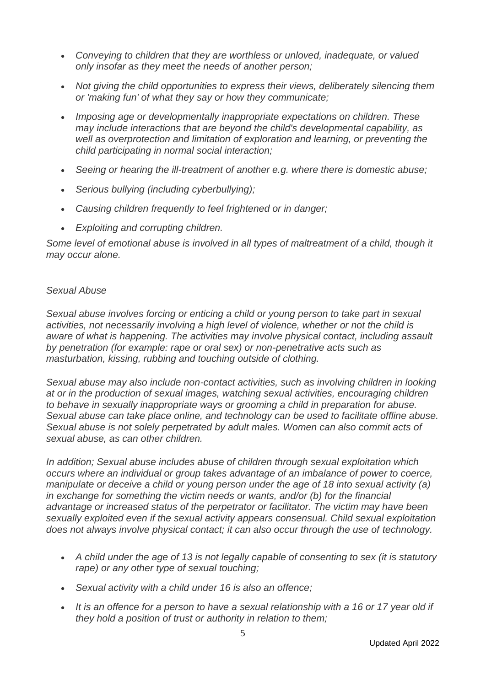- *Conveying to children that they are worthless or unloved, inadequate, or valued only insofar as they meet the needs of another person;*
- *Not giving the child opportunities to express their views, deliberately silencing them or 'making fun' of what they say or how they communicate;*
- *Imposing age or developmentally inappropriate expectations on children. These may include interactions that are beyond the child's developmental capability, as well as overprotection and limitation of exploration and learning, or preventing the child participating in normal social interaction;*
- *Seeing or hearing the ill-treatment of another e.g. where there is domestic abuse;*
- *Serious bullying (including cyberbullying);*
- *Causing children frequently to feel frightened or in danger;*
- *Exploiting and corrupting children.*

Some level of emotional abuse is involved in all types of maltreatment of a child, though it *may occur alone.*

#### *Sexual Abuse*

*Sexual abuse involves forcing or enticing a child or young person to take part in sexual activities, not necessarily involving a high level of violence, whether or not the child is aware of what is happening. The activities may involve physical contact, including assault by penetration (for example: rape or oral sex) or non-penetrative acts such as masturbation, kissing, rubbing and touching outside of clothing.*

*Sexual abuse may also include non-contact activities, such as involving children in looking at or in the production of sexual images, watching sexual activities, encouraging children to behave in sexually inappropriate ways or grooming a child in preparation for abuse. Sexual abuse can take place online, and technology can be used to facilitate offline abuse. Sexual abuse is not solely perpetrated by adult males. Women can also commit acts of sexual abuse, as can other children.*

*In addition; Sexual abuse includes abuse of children through sexual exploitation which occurs where an individual or group takes advantage of an imbalance of power to coerce, manipulate or deceive a child or young person under the age of 18 into sexual activity (a) in exchange for something the victim needs or wants, and/or (b) for the financial advantage or increased status of the perpetrator or facilitator. The victim may have been sexually exploited even if the sexual activity appears consensual. Child sexual exploitation does not always involve physical contact; it can also occur through the use of technology.*

- *A child under the age of 13 is not legally capable of consenting to sex (it is statutory rape) or any other type of sexual touching;*
- *Sexual activity with a child under 16 is also an offence;*
- *It is an offence for a person to have a sexual relationship with a 16 or 17 year old if they hold a position of trust or authority in relation to them;*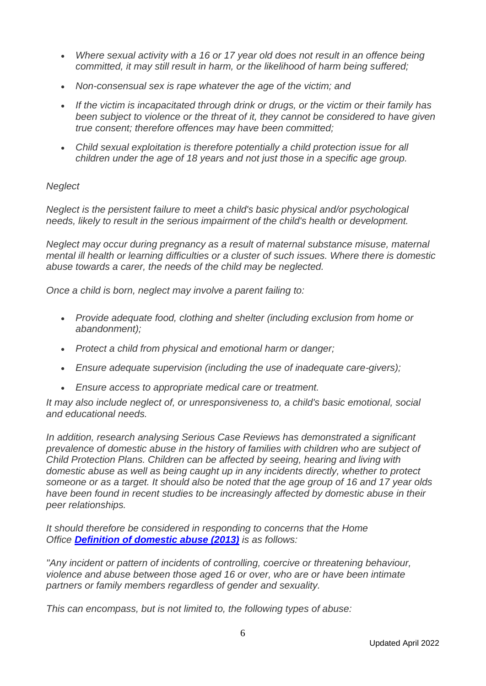- *Where sexual activity with a 16 or 17 year old does not result in an offence being committed, it may still result in harm, or the likelihood of harm being suffered;*
- *Non-consensual sex is rape whatever the age of the victim; and*
- *If the victim is incapacitated through drink or drugs, or the victim or their family has been subject to violence or the threat of it, they cannot be considered to have given true consent; therefore offences may have been committed;*
- *Child sexual exploitation is therefore potentially a child protection issue for all children under the age of 18 years and not just those in a specific age group.*

## *Neglect*

*Neglect is the persistent failure to meet a child's basic physical and/or psychological needs, likely to result in the serious impairment of the child's health or development.*

*Neglect may occur during pregnancy as a result of maternal substance misuse, maternal mental ill health or learning difficulties or a cluster of such issues. Where there is domestic abuse towards a carer, the needs of the child may be neglected.*

*Once a child is born, neglect may involve a parent failing to:*

- *Provide adequate food, clothing and shelter (including exclusion from home or abandonment);*
- *Protect a child from physical and emotional harm or danger;*
- *Ensure adequate supervision (including the use of inadequate care-givers);*
- *Ensure access to appropriate medical care or treatment.*

*It may also include neglect of, or unresponsiveness to, a child's basic emotional, social and educational needs.*

*In addition, research analysing Serious Case Reviews has demonstrated a significant prevalence of domestic abuse in the history of families with children who are subject of Child Protection Plans. Children can be affected by seeing, hearing and living with domestic abuse as well as being caught up in any incidents directly, whether to protect someone or as a target. It should also be noted that the age group of 16 and 17 year olds have been found in recent studies to be increasingly affected by domestic abuse in their peer relationships.*

*It should therefore be considered in responding to concerns that the Home Office [Definition of domestic abuse \(2013\)](https://www.gov.uk/government/publications/definition-of-domestic-violence-and-abuse-guide-for-local-areas) is as follows:*

*"Any incident or pattern of incidents of controlling, coercive or threatening behaviour, violence and abuse between those aged 16 or over, who are or have been intimate partners or family members regardless of gender and sexuality.*

*This can encompass, but is not limited to, the following types of abuse:*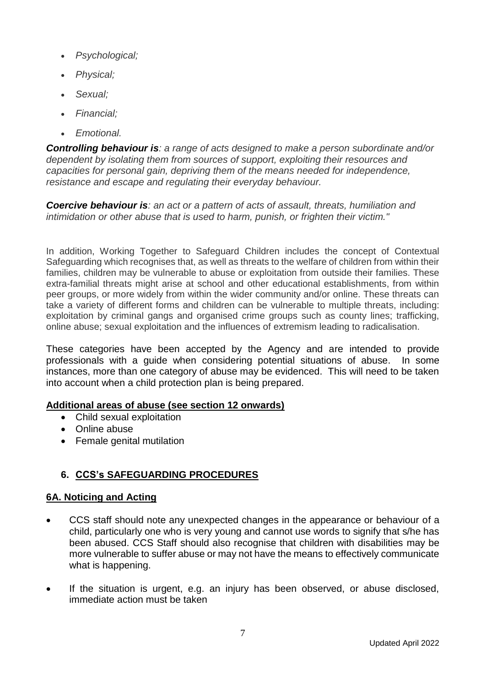- *Psychological;*
- *Physical;*
- *Sexual;*
- *Financial;*
- *Emotional.*

*Controlling behaviour is: a range of acts designed to make a person subordinate and/or dependent by isolating them from sources of support, exploiting their resources and capacities for personal gain, depriving them of the means needed for independence, resistance and escape and regulating their everyday behaviour.*

*Coercive behaviour is: an act or a pattern of acts of assault, threats, humiliation and intimidation or other abuse that is used to harm, punish, or frighten their victim."*

In addition, Working Together to Safeguard Children includes the concept of Contextual Safeguarding which recognises that, as well as threats to the welfare of children from within their families, children may be vulnerable to abuse or exploitation from outside their families. These extra-familial threats might arise at school and other educational establishments, from within peer groups, or more widely from within the wider community and/or online. These threats can take a variety of different forms and children can be vulnerable to multiple threats, including: exploitation by criminal gangs and organised crime groups such as county lines; trafficking, online abuse; sexual exploitation and the influences of extremism leading to radicalisation.

These categories have been accepted by the Agency and are intended to provide professionals with a guide when considering potential situations of abuse. In some instances, more than one category of abuse may be evidenced. This will need to be taken into account when a child protection plan is being prepared.

## **Additional areas of abuse (see section 12 onwards)**

- Child sexual exploitation
- Online abuse
- Female genital mutilation

# **6. CCS's SAFEGUARDING PROCEDURES**

# **6A. Noticing and Acting**

- CCS staff should note any unexpected changes in the appearance or behaviour of a child, particularly one who is very young and cannot use words to signify that s/he has been abused. CCS Staff should also recognise that children with disabilities may be more vulnerable to suffer abuse or may not have the means to effectively communicate what is happening.
- If the situation is urgent, e.g. an injury has been observed, or abuse disclosed, immediate action must be taken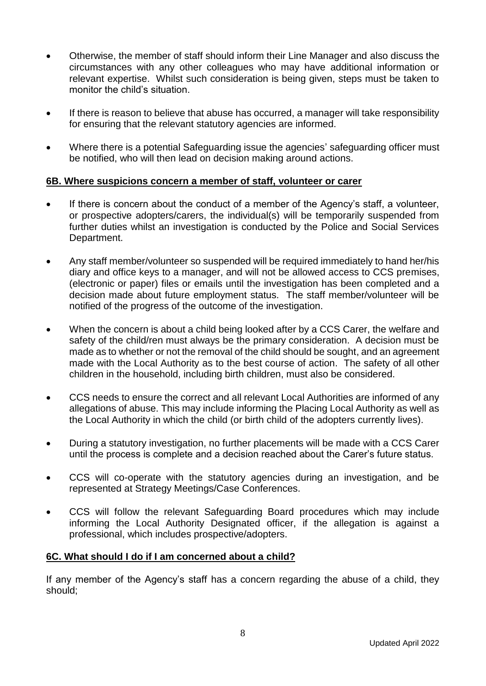- Otherwise, the member of staff should inform their Line Manager and also discuss the circumstances with any other colleagues who may have additional information or relevant expertise. Whilst such consideration is being given, steps must be taken to monitor the child's situation.
- If there is reason to believe that abuse has occurred, a manager will take responsibility for ensuring that the relevant statutory agencies are informed.
- Where there is a potential Safeguarding issue the agencies' safeguarding officer must be notified, who will then lead on decision making around actions.

## **6B. Where suspicions concern a member of staff, volunteer or carer**

- If there is concern about the conduct of a member of the Agency's staff, a volunteer, or prospective adopters/carers, the individual(s) will be temporarily suspended from further duties whilst an investigation is conducted by the Police and Social Services Department.
- Any staff member/volunteer so suspended will be required immediately to hand her/his diary and office keys to a manager, and will not be allowed access to CCS premises, (electronic or paper) files or emails until the investigation has been completed and a decision made about future employment status. The staff member/volunteer will be notified of the progress of the outcome of the investigation.
- When the concern is about a child being looked after by a CCS Carer, the welfare and safety of the child/ren must always be the primary consideration. A decision must be made as to whether or not the removal of the child should be sought, and an agreement made with the Local Authority as to the best course of action. The safety of all other children in the household, including birth children, must also be considered.
- CCS needs to ensure the correct and all relevant Local Authorities are informed of any allegations of abuse. This may include informing the Placing Local Authority as well as the Local Authority in which the child (or birth child of the adopters currently lives).
- During a statutory investigation, no further placements will be made with a CCS Carer until the process is complete and a decision reached about the Carer's future status.
- CCS will co-operate with the statutory agencies during an investigation, and be represented at Strategy Meetings/Case Conferences.
- CCS will follow the relevant Safeguarding Board procedures which may include informing the Local Authority Designated officer, if the allegation is against a professional, which includes prospective/adopters.

# **6C. What should I do if I am concerned about a child?**

If any member of the Agency's staff has a concern regarding the abuse of a child, they should;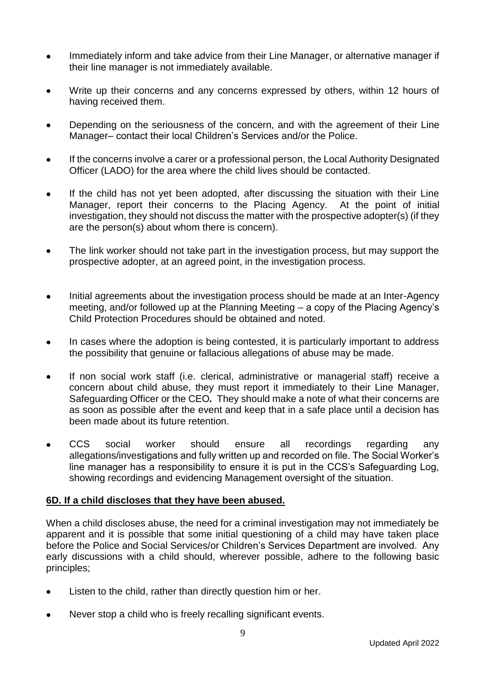- Immediately inform and take advice from their Line Manager, or alternative manager if their line manager is not immediately available.
- Write up their concerns and any concerns expressed by others, within 12 hours of having received them.
- Depending on the seriousness of the concern, and with the agreement of their Line Manager– contact their local Children's Services and/or the Police.
- If the concerns involve a carer or a professional person, the Local Authority Designated Officer (LADO) for the area where the child lives should be contacted.
- If the child has not yet been adopted, after discussing the situation with their Line Manager, report their concerns to the Placing Agency. At the point of initial investigation, they should not discuss the matter with the prospective adopter(s) (if they are the person(s) about whom there is concern).
- The link worker should not take part in the investigation process, but may support the prospective adopter, at an agreed point, in the investigation process.
- Initial agreements about the investigation process should be made at an Inter-Agency meeting, and/or followed up at the Planning Meeting – a copy of the Placing Agency's Child Protection Procedures should be obtained and noted.
- In cases where the adoption is being contested, it is particularly important to address the possibility that genuine or fallacious allegations of abuse may be made.
- If non social work staff (i.e. clerical, administrative or managerial staff) receive a concern about child abuse, they must report it immediately to their Line Manager, Safeguarding Officer or the CEO*.* They should make a note of what their concerns are as soon as possible after the event and keep that in a safe place until a decision has been made about its future retention.
- CCS social worker should ensure all recordings regarding any allegations/investigations and fully written up and recorded on file. The Social Worker's line manager has a responsibility to ensure it is put in the CCS's Safeguarding Log, showing recordings and evidencing Management oversight of the situation.

## **6D. If a child discloses that they have been abused.**

When a child discloses abuse, the need for a criminal investigation may not immediately be apparent and it is possible that some initial questioning of a child may have taken place before the Police and Social Services/or Children's Services Department are involved. Any early discussions with a child should, wherever possible, adhere to the following basic principles;

- Listen to the child, rather than directly question him or her.
- Never stop a child who is freely recalling significant events.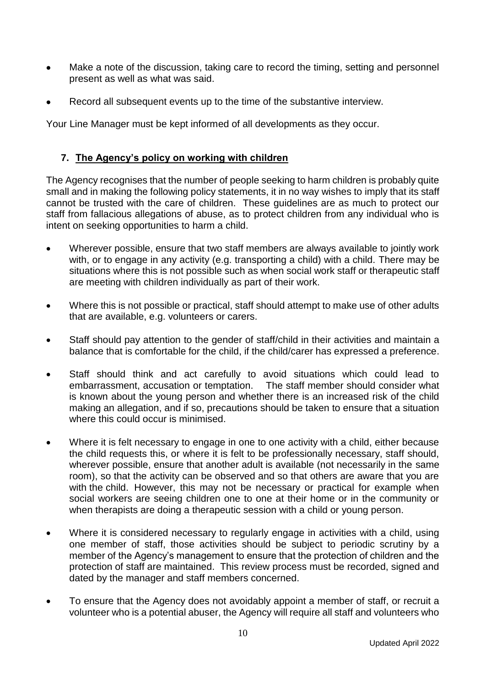- Make a note of the discussion, taking care to record the timing, setting and personnel present as well as what was said.
- Record all subsequent events up to the time of the substantive interview.

Your Line Manager must be kept informed of all developments as they occur.

## **7. The Agency's policy on working with children**

The Agency recognises that the number of people seeking to harm children is probably quite small and in making the following policy statements, it in no way wishes to imply that its staff cannot be trusted with the care of children. These guidelines are as much to protect our staff from fallacious allegations of abuse, as to protect children from any individual who is intent on seeking opportunities to harm a child.

- Wherever possible, ensure that two staff members are always available to jointly work with, or to engage in any activity (e.g. transporting a child) with a child. There may be situations where this is not possible such as when social work staff or therapeutic staff are meeting with children individually as part of their work.
- Where this is not possible or practical, staff should attempt to make use of other adults that are available, e.g. volunteers or carers.
- Staff should pay attention to the gender of staff/child in their activities and maintain a balance that is comfortable for the child, if the child/carer has expressed a preference.
- Staff should think and act carefully to avoid situations which could lead to embarrassment, accusation or temptation. The staff member should consider what is known about the young person and whether there is an increased risk of the child making an allegation, and if so, precautions should be taken to ensure that a situation where this could occur is minimised.
- Where it is felt necessary to engage in one to one activity with a child, either because the child requests this, or where it is felt to be professionally necessary, staff should, wherever possible, ensure that another adult is available (not necessarily in the same room), so that the activity can be observed and so that others are aware that you are with the child. However, this may not be necessary or practical for example when social workers are seeing children one to one at their home or in the community or when therapists are doing a therapeutic session with a child or young person.
- Where it is considered necessary to regularly engage in activities with a child, using one member of staff, those activities should be subject to periodic scrutiny by a member of the Agency's management to ensure that the protection of children and the protection of staff are maintained. This review process must be recorded, signed and dated by the manager and staff members concerned.
- To ensure that the Agency does not avoidably appoint a member of staff, or recruit a volunteer who is a potential abuser, the Agency will require all staff and volunteers who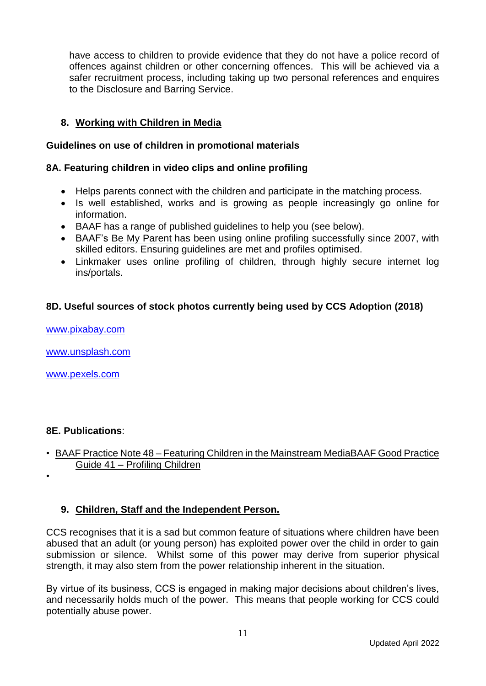have access to children to provide evidence that they do not have a police record of offences against children or other concerning offences. This will be achieved via a safer recruitment process, including taking up two personal references and enquires to the Disclosure and Barring Service.

## **8. Working with Children in Media**

#### **Guidelines on use of children in promotional materials**

## **8A. Featuring children in video clips and online profiling**

- Helps parents connect with the children and participate in the matching process.
- Is well established, works and is growing as people increasingly go online for information.
- BAAF has a range of published guidelines to help you (see below).
- BAAF's [Be My Parent](https://www.bemyparent.org.uk/info-for-agencies/using-video-clips/) has been using online profiling successfully since 2007, with skilled editors. Ensuring guidelines are met and profiles optimised.
- Linkmaker uses online profiling of children, through highly secure internet log ins/portals.

## **8D. Useful sources of stock photos currently being used by CCS Adoption (2018)**

[www.pixabay.com](http://www.pixabay.com/)

[www.unsplash.com](http://www.unsplash.com/)

[www.pexels.com](http://www.pexels.com/)

#### **8E. Publications**:

• BAAF Practice Note 48 – Featuring Children in the Mainstream MediaBAAF Good Practice Guide 41 – Profiling Children

•

## **9. Children, Staff and the Independent Person.**

CCS recognises that it is a sad but common feature of situations where children have been abused that an adult (or young person) has exploited power over the child in order to gain submission or silence. Whilst some of this power may derive from superior physical strength, it may also stem from the power relationship inherent in the situation.

By virtue of its business, CCS is engaged in making major decisions about children's lives, and necessarily holds much of the power. This means that people working for CCS could potentially abuse power.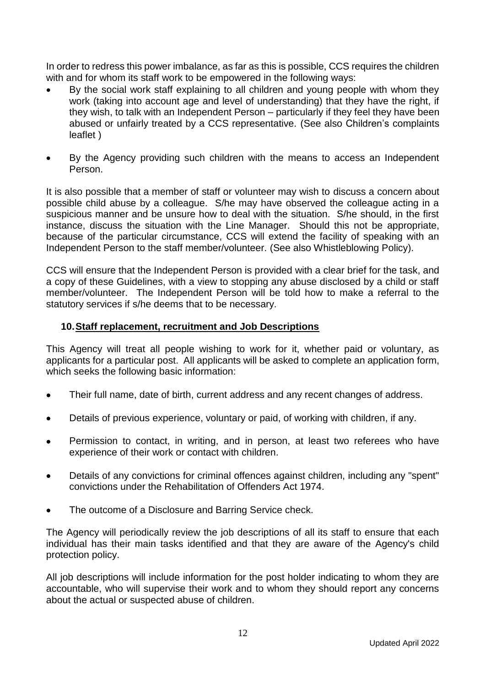In order to redress this power imbalance, as far as this is possible, CCS requires the children with and for whom its staff work to be empowered in the following ways:

- By the social work staff explaining to all children and young people with whom they work (taking into account age and level of understanding) that they have the right, if they wish, to talk with an Independent Person – particularly if they feel they have been abused or unfairly treated by a CCS representative. (See also Children's complaints leaflet )
- By the Agency providing such children with the means to access an Independent Person.

It is also possible that a member of staff or volunteer may wish to discuss a concern about possible child abuse by a colleague. S/he may have observed the colleague acting in a suspicious manner and be unsure how to deal with the situation. S/he should, in the first instance, discuss the situation with the Line Manager. Should this not be appropriate, because of the particular circumstance, CCS will extend the facility of speaking with an Independent Person to the staff member/volunteer. (See also Whistleblowing Policy).

CCS will ensure that the Independent Person is provided with a clear brief for the task, and a copy of these Guidelines, with a view to stopping any abuse disclosed by a child or staff member/volunteer. The Independent Person will be told how to make a referral to the statutory services if s/he deems that to be necessary.

## **10.Staff replacement, recruitment and Job Descriptions**

This Agency will treat all people wishing to work for it, whether paid or voluntary, as applicants for a particular post. All applicants will be asked to complete an application form, which seeks the following basic information:

- Their full name, date of birth, current address and any recent changes of address.
- Details of previous experience, voluntary or paid, of working with children, if any.
- Permission to contact, in writing, and in person, at least two referees who have experience of their work or contact with children.
- Details of any convictions for criminal offences against children, including any "spent" convictions under the Rehabilitation of Offenders Act 1974.
- The outcome of a Disclosure and Barring Service check.

The Agency will periodically review the job descriptions of all its staff to ensure that each individual has their main tasks identified and that they are aware of the Agency's child protection policy.

All job descriptions will include information for the post holder indicating to whom they are accountable, who will supervise their work and to whom they should report any concerns about the actual or suspected abuse of children.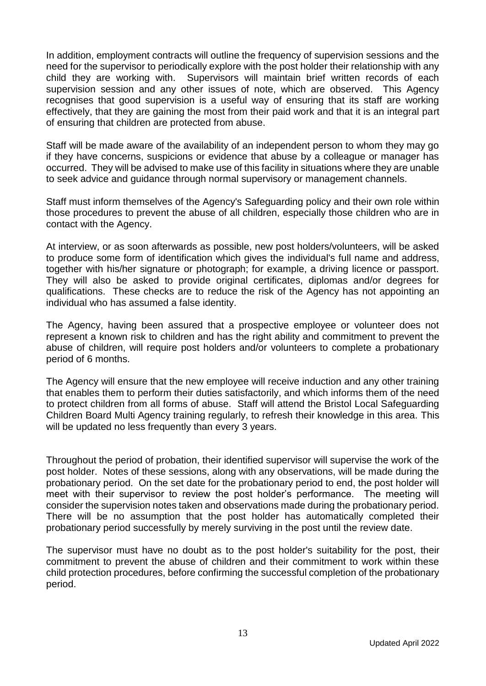In addition, employment contracts will outline the frequency of supervision sessions and the need for the supervisor to periodically explore with the post holder their relationship with any child they are working with. Supervisors will maintain brief written records of each supervision session and any other issues of note, which are observed. This Agency recognises that good supervision is a useful way of ensuring that its staff are working effectively, that they are gaining the most from their paid work and that it is an integral part of ensuring that children are protected from abuse.

Staff will be made aware of the availability of an independent person to whom they may go if they have concerns, suspicions or evidence that abuse by a colleague or manager has occurred. They will be advised to make use of this facility in situations where they are unable to seek advice and guidance through normal supervisory or management channels.

Staff must inform themselves of the Agency's Safeguarding policy and their own role within those procedures to prevent the abuse of all children, especially those children who are in contact with the Agency.

At interview, or as soon afterwards as possible, new post holders/volunteers, will be asked to produce some form of identification which gives the individual's full name and address, together with his/her signature or photograph; for example, a driving licence or passport. They will also be asked to provide original certificates, diplomas and/or degrees for qualifications. These checks are to reduce the risk of the Agency has not appointing an individual who has assumed a false identity.

The Agency, having been assured that a prospective employee or volunteer does not represent a known risk to children and has the right ability and commitment to prevent the abuse of children, will require post holders and/or volunteers to complete a probationary period of 6 months.

The Agency will ensure that the new employee will receive induction and any other training that enables them to perform their duties satisfactorily, and which informs them of the need to protect children from all forms of abuse. Staff will attend the Bristol Local Safeguarding Children Board Multi Agency training regularly, to refresh their knowledge in this area. This will be updated no less frequently than every 3 years.

Throughout the period of probation, their identified supervisor will supervise the work of the post holder. Notes of these sessions, along with any observations, will be made during the probationary period. On the set date for the probationary period to end, the post holder will meet with their supervisor to review the post holder's performance. The meeting will consider the supervision notes taken and observations made during the probationary period. There will be no assumption that the post holder has automatically completed their probationary period successfully by merely surviving in the post until the review date.

The supervisor must have no doubt as to the post holder's suitability for the post, their commitment to prevent the abuse of children and their commitment to work within these child protection procedures, before confirming the successful completion of the probationary period.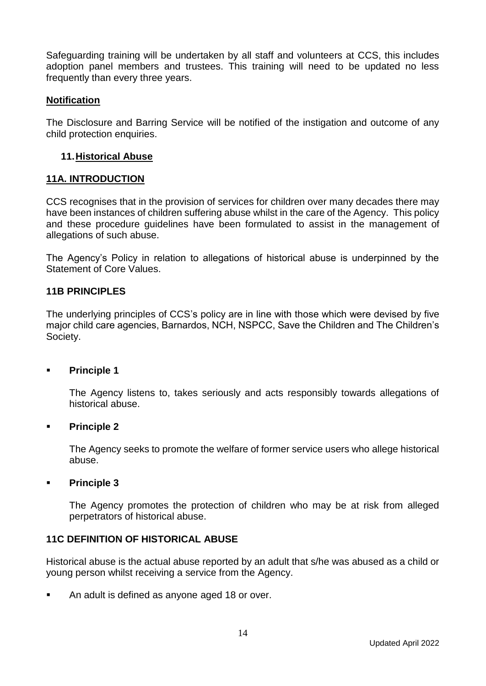Safeguarding training will be undertaken by all staff and volunteers at CCS, this includes adoption panel members and trustees. This training will need to be updated no less frequently than every three years.

#### **Notification**

The Disclosure and Barring Service will be notified of the instigation and outcome of any child protection enquiries.

#### **11.Historical Abuse**

#### **11A. INTRODUCTION**

CCS recognises that in the provision of services for children over many decades there may have been instances of children suffering abuse whilst in the care of the Agency. This policy and these procedure guidelines have been formulated to assist in the management of allegations of such abuse.

The Agency's Policy in relation to allegations of historical abuse is underpinned by the Statement of Core Values.

#### **11B PRINCIPLES**

The underlying principles of CCS's policy are in line with those which were devised by five major child care agencies, Barnardos, NCH, NSPCC, Save the Children and The Children's Society.

#### ▪ **Principle 1**

The Agency listens to, takes seriously and acts responsibly towards allegations of historical abuse.

#### ▪ **Principle 2**

The Agency seeks to promote the welfare of former service users who allege historical abuse.

#### ▪ **Principle 3**

The Agency promotes the protection of children who may be at risk from alleged perpetrators of historical abuse.

## **11C DEFINITION OF HISTORICAL ABUSE**

Historical abuse is the actual abuse reported by an adult that s/he was abused as a child or young person whilst receiving a service from the Agency.

■ An adult is defined as anyone aged 18 or over.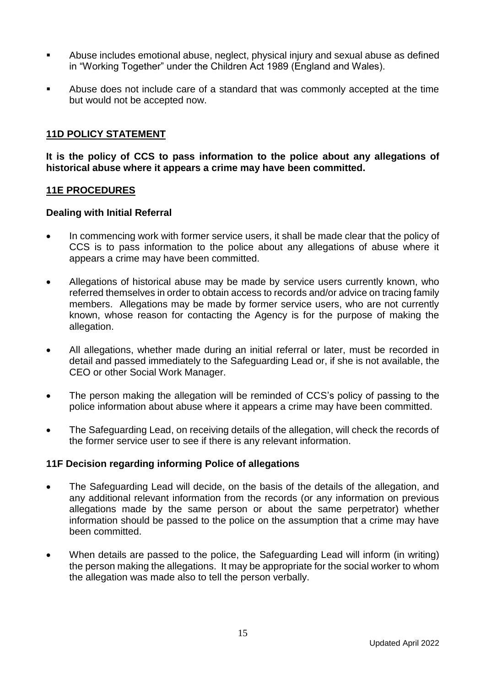- Abuse includes emotional abuse, neglect, physical injury and sexual abuse as defined in "Working Together" under the Children Act 1989 (England and Wales).
- Abuse does not include care of a standard that was commonly accepted at the time but would not be accepted now.

## **11D POLICY STATEMENT**

**It is the policy of CCS to pass information to the police about any allegations of historical abuse where it appears a crime may have been committed.**

#### **11E PROCEDURES**

#### **Dealing with Initial Referral**

- In commencing work with former service users, it shall be made clear that the policy of CCS is to pass information to the police about any allegations of abuse where it appears a crime may have been committed.
- Allegations of historical abuse may be made by service users currently known, who referred themselves in order to obtain access to records and/or advice on tracing family members. Allegations may be made by former service users, who are not currently known, whose reason for contacting the Agency is for the purpose of making the allegation.
- All allegations, whether made during an initial referral or later, must be recorded in detail and passed immediately to the Safeguarding Lead or, if she is not available, the CEO or other Social Work Manager.
- The person making the allegation will be reminded of CCS's policy of passing to the police information about abuse where it appears a crime may have been committed.
- The Safeguarding Lead, on receiving details of the allegation, will check the records of the former service user to see if there is any relevant information.

## **11F Decision regarding informing Police of allegations**

- The Safeguarding Lead will decide, on the basis of the details of the allegation, and any additional relevant information from the records (or any information on previous allegations made by the same person or about the same perpetrator) whether information should be passed to the police on the assumption that a crime may have been committed.
- When details are passed to the police, the Safeguarding Lead will inform (in writing) the person making the allegations. It may be appropriate for the social worker to whom the allegation was made also to tell the person verbally.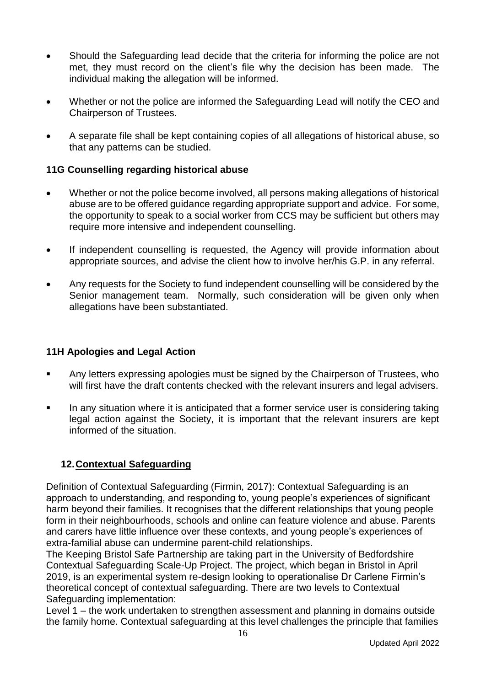- Should the Safeguarding lead decide that the criteria for informing the police are not met, they must record on the client's file why the decision has been made. The individual making the allegation will be informed.
- Whether or not the police are informed the Safeguarding Lead will notify the CEO and Chairperson of Trustees.
- A separate file shall be kept containing copies of all allegations of historical abuse, so that any patterns can be studied.

## **11G Counselling regarding historical abuse**

- Whether or not the police become involved, all persons making allegations of historical abuse are to be offered guidance regarding appropriate support and advice. For some, the opportunity to speak to a social worker from CCS may be sufficient but others may require more intensive and independent counselling.
- If independent counselling is requested, the Agency will provide information about appropriate sources, and advise the client how to involve her/his G.P. in any referral.
- Any requests for the Society to fund independent counselling will be considered by the Senior management team. Normally, such consideration will be given only when allegations have been substantiated.

## **11H Apologies and Legal Action**

- Any letters expressing apologies must be signed by the Chairperson of Trustees, who will first have the draft contents checked with the relevant insurers and legal advisers.
- In any situation where it is anticipated that a former service user is considering taking legal action against the Society, it is important that the relevant insurers are kept informed of the situation.

## **12.Contextual Safeguarding**

Definition of Contextual Safeguarding (Firmin, 2017): Contextual Safeguarding is an approach to understanding, and responding to, young people's experiences of significant harm beyond their families. It recognises that the different relationships that young people form in their neighbourhoods, schools and online can feature violence and abuse. Parents and carers have little influence over these contexts, and young people's experiences of extra-familial abuse can undermine parent-child relationships.

The Keeping Bristol Safe Partnership are taking part in the University of Bedfordshire Contextual Safeguarding Scale-Up Project. The project, which began in Bristol in April 2019, is an experimental system re-design looking to operationalise Dr Carlene Firmin's theoretical concept of contextual safeguarding. There are two levels to Contextual Safeguarding implementation:

Level 1 – the work undertaken to strengthen assessment and planning in domains outside the family home. Contextual safeguarding at this level challenges the principle that families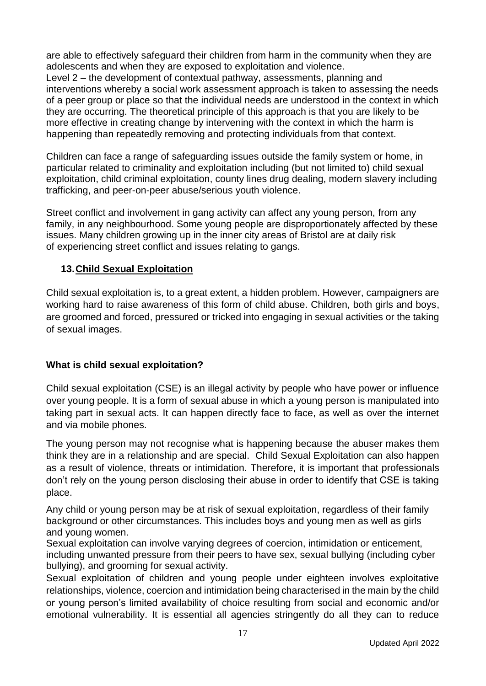are able to effectively safeguard their children from harm in the community when they are adolescents and when they are exposed to exploitation and violence. Level 2 – the development of contextual pathway, assessments, planning and interventions whereby a social work assessment approach is taken to assessing the needs of a peer group or place so that the individual needs are understood in the context in which they are occurring. The theoretical principle of this approach is that you are likely to be more effective in creating change by intervening with the context in which the harm is happening than repeatedly removing and protecting individuals from that context.

Children can face a range of safeguarding issues outside the family system or home, in particular related to criminality and exploitation including (but not limited to) child sexual exploitation, child criminal exploitation, county lines drug dealing, modern slavery including trafficking, and peer-on-peer abuse/serious youth violence.

Street conflict and involvement in gang activity can affect any young person, from any family, in any neighbourhood. Some young people are disproportionately affected by these issues. Many children growing up in the inner city areas of Bristol are at daily risk of experiencing street conflict and issues relating to gangs.

# **13.Child Sexual Exploitation**

Child sexual exploitation is, to a great extent, a hidden problem. However, campaigners are working hard to raise awareness of this form of child abuse. Children, both girls and boys, are groomed and forced, pressured or tricked into engaging in sexual activities or the taking of sexual images.

## **What is child sexual exploitation?**

Child sexual exploitation (CSE) is an illegal activity by people who have power or influence over young people. It is a form of sexual abuse in which a young person is manipulated into taking part in sexual acts. It can happen directly face to face, as well as over the internet and via mobile phones.

The young person may not recognise what is happening because the abuser makes them think they are in a relationship and are special. Child Sexual Exploitation can also happen as a result of violence, threats or intimidation. Therefore, it is important that professionals don't rely on the young person disclosing their abuse in order to identify that CSE is taking place.

Any child or young person may be at risk of sexual exploitation, regardless of their family background or other circumstances. This includes boys and young men as well as girls and young women.

Sexual exploitation can involve varying degrees of coercion, intimidation or enticement, including unwanted pressure from their peers to have sex, sexual bullying (including cyber bullying), and grooming for sexual activity.

Sexual exploitation of children and young people under eighteen involves exploitative relationships, violence, coercion and intimidation being characterised in the main by the child or young person's limited availability of choice resulting from social and economic and/or emotional vulnerability. It is essential all agencies stringently do all they can to reduce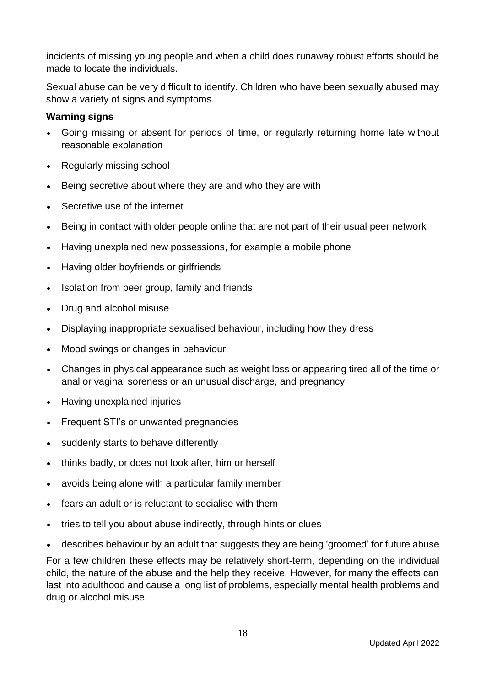incidents of missing young people and when a child does runaway robust efforts should be made to locate the individuals.

Sexual abuse can be very difficult to identify. Children who have been sexually abused may show a variety of signs and symptoms.

## **Warning signs**

- Going missing or absent for periods of time, or regularly returning home late without reasonable explanation
- Regularly missing school
- Being secretive about where they are and who they are with
- Secretive use of the internet
- Being in contact with older people online that are not part of their usual peer network
- Having unexplained new possessions, for example a mobile phone
- Having older boyfriends or girlfriends
- Isolation from peer group, family and friends
- Drug and alcohol misuse
- Displaying inappropriate sexualised behaviour, including how they dress
- Mood swings or changes in behaviour
- Changes in physical appearance such as weight loss or appearing tired all of the time or anal or vaginal soreness or an unusual discharge, and pregnancy
- Having unexplained injuries
- Frequent STI's or unwanted pregnancies
- suddenly starts to behave differently
- thinks badly, or does not look after, him or herself
- avoids being alone with a particular family member
- fears an adult or is reluctant to socialise with them
- tries to tell you about abuse indirectly, through hints or clues
- describes behaviour by an adult that suggests they are being 'groomed' for future abuse

For a few children these effects may be relatively short-term, depending on the individual child, the nature of the abuse and the help they receive. However, for many the effects can last into adulthood and cause a long list of problems, especially mental health problems and drug or alcohol misuse.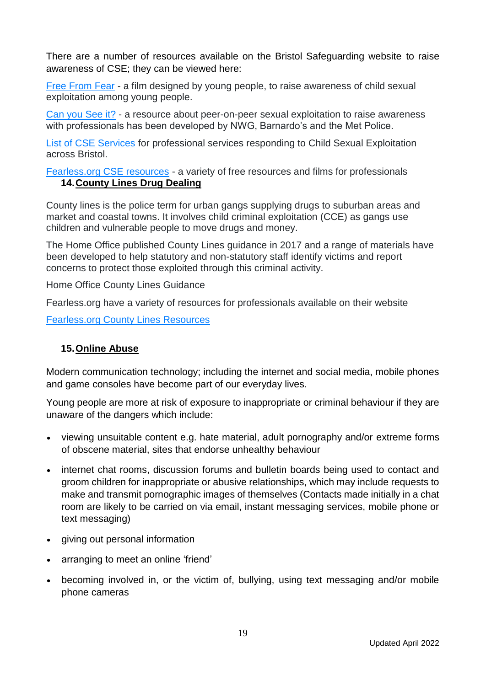There are a number of resources available on the Bristol Safeguarding website to raise awareness of CSE; they can be viewed here:

[Free From Fear](https://www.youtube.com/watch?v=SBd11O_2IEg) - a film designed by young people, to raise awareness of child sexual exploitation among young people.

[Can you See it?](http://www.barnardos.org.uk/cse-can-you-see-it) - a resource about peer-on-peer sexual exploitation to raise awareness with professionals has been developed by NWG, Barnardo's and the Met Police.

[List of CSE Services](https://bristolsafeguarding.org/media/aaeemb51/services-in-bristol-responding-to-cse-october-2019-x.docx) for professional services responding to Child Sexual Exploitation across Bristol.

[Fearless.org CSE resources](https://www.fearless.org/en/professionals/resources/cse) - a variety of free resources and films for professionals **14.County Lines Drug Dealing**

County lines is the police term for urban gangs supplying drugs to suburban areas and market and coastal towns. It involves child criminal exploitation (CCE) as gangs use children and vulnerable people to move drugs and money.

The Home Office published County Lines guidance in 2017 and a range of materials have been developed to help statutory and non-statutory staff identify victims and report concerns to protect those exploited through this criminal activity.

Home Office County Lines Guidance

Fearless.org have a variety of resources for professionals available on their website

[Fearless.org County Lines Resources](https://www.fearless.org/en/professionals/resources/gangs-(county-lines))

## **15.Online Abuse**

Modern communication technology; including the internet and social media, mobile phones and game consoles have become part of our everyday lives.

Young people are more at risk of exposure to inappropriate or criminal behaviour if they are unaware of the dangers which include:

- viewing unsuitable content e.g. hate material, adult pornography and/or extreme forms of obscene material, sites that endorse unhealthy behaviour
- internet chat rooms, discussion forums and bulletin boards being used to contact and groom children for inappropriate or abusive relationships, which may include requests to make and transmit pornographic images of themselves (Contacts made initially in a chat room are likely to be carried on via email, instant messaging services, mobile phone or text messaging)
- giving out personal information
- arranging to meet an online 'friend'
- becoming involved in, or the victim of, bullying, using text messaging and/or mobile phone cameras